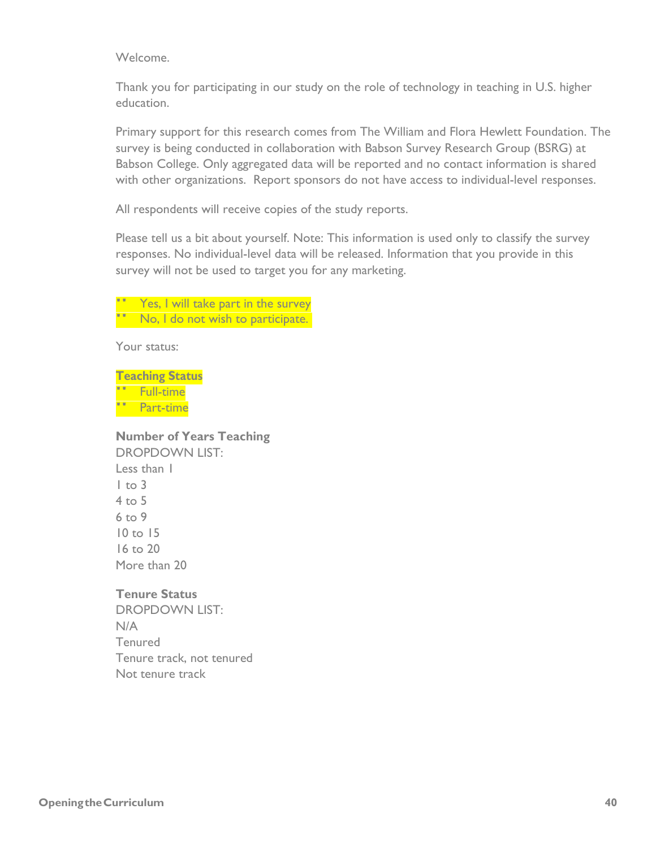Welcome.

Thank you for participating in our study on the role of technology in teaching in U.S. higher education.

Primary support for this research comes from The William and Flora Hewlett Foundation. The survey is being conducted in collaboration with Babson Survey Research Group (BSRG) at Babson College. Only aggregated data will be reported and no contact information is shared with other organizations. Report sponsors do not have access to individual-level responses.

All respondents will receive copies of the study reports.

Please tell us a bit about yourself. Note: This information is used only to classify the survey responses. No individual-level data will be released. Information that you provide in this survey will not be used to target you for any marketing.

Yes, I will take part in the survey No, I do not wish to participate.

Your status:

**Teaching Status** " Full-time " Full-time<br>" Part-time

**Number of Years Teaching** DROPDOWN LIST: Less than 1  $1$  to  $3$ 4 to 5 6 to 9 10 to 15

16 to 20 More than 20

**Tenure Status** DROPDOWN LIST:

N/A Tenured Tenure track, not tenured Not tenure track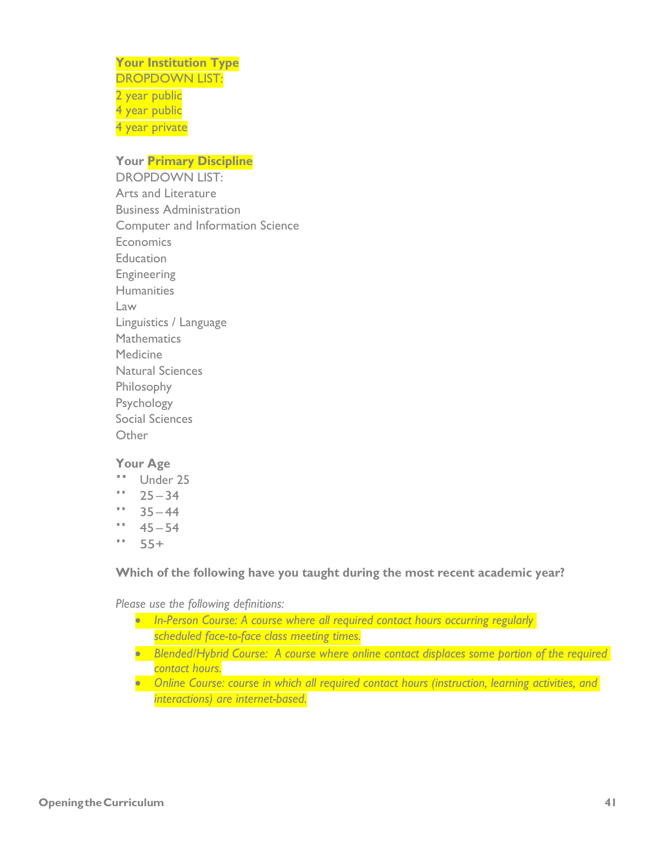**Your Institution Type** DROPDOWN LIST: 2 year public 4 year public 4 year private

### **Your Primary Discipline**

DROPDOWN LIST: Arts and Literature Business Administration Computer and Information Science **Economics Education** Engineering **Humanities** Law Linguistics / Language **Mathematics** Medicine Natural Sciences Philosophy Psychology Social Sciences Other

#### **Your Age**

- " Under 25
- $"$  25 34
- $"$  35 44
- $" 45 54$
- $" 55+$

**Which of the following have you taught during the most recent academic year?**

*Please use the following definitions:*

- *In-Person Course: A course where all required contact hours occurring regularly scheduled face-to-face class meeting times.*
- *Blended/Hybrid Course: A course where online contact displaces some portion of the required contact hours.*
- *Online Course: course in which all required contact hours (instruction, learning activities, and interactions) are internet-based.*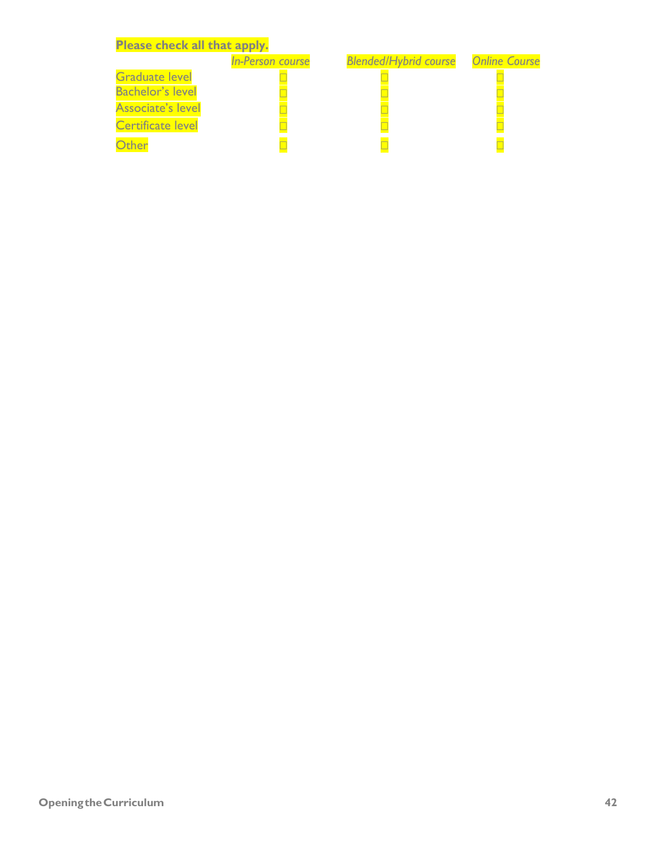| Please check all that apply. |                         |                              |                      |
|------------------------------|-------------------------|------------------------------|----------------------|
|                              | <b>In-Person course</b> | <b>Blended/Hybrid course</b> | <b>Online Course</b> |
| <b>Graduate level</b>        |                         |                              |                      |
| <b>Bachelor's level</b>      |                         |                              |                      |
| <b>Associate's level</b>     |                         |                              |                      |
| <b>Certificate level</b>     |                         |                              |                      |
| <b>Ither</b>                 |                         |                              |                      |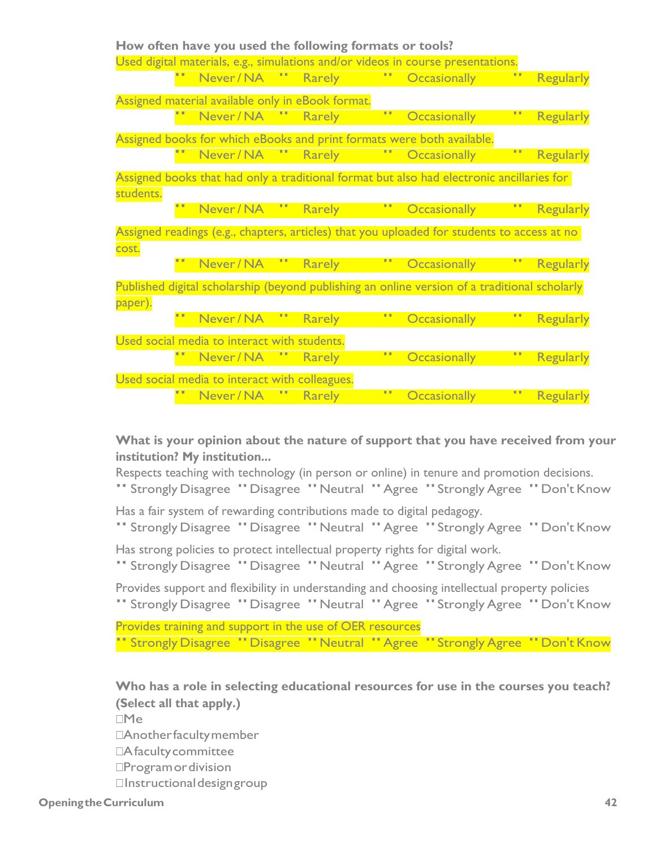|           | How often have you used the following formats or tools? |               |    |                                                                                               |                  |
|-----------|---------------------------------------------------------|---------------|----|-----------------------------------------------------------------------------------------------|------------------|
|           |                                                         |               |    | Used digital materials, e.g., simulations and/or videos in course presentations.              |                  |
|           | Never / NA                                              | <b>Rarely</b> |    | <b>Occasionally</b>                                                                           | <b>Regularly</b> |
|           | Assigned material available only in eBook format.       |               |    |                                                                                               |                  |
|           | Never/NA " Rarely                                       |               | 99 | <b>Occasionally</b>                                                                           | <b>Regularly</b> |
|           |                                                         |               |    | Assigned books for which eBooks and print formats were both available.                        |                  |
|           | Never/NA " Rarely                                       |               |    | <b>Occasionally</b>                                                                           | <b>Regularly</b> |
|           |                                                         |               |    | Assigned books that had only a traditional format but also had electronic ancillaries for     |                  |
| students. |                                                         |               |    |                                                                                               |                  |
|           | Never / NA                                              | <b>Rarely</b> | Ŧ  | <b>Occasionally</b>                                                                           | Regularly        |
|           |                                                         |               |    |                                                                                               |                  |
|           |                                                         |               |    | Assigned readings (e.g., chapters, articles) that you uploaded for students to access at no   |                  |
| cost.     |                                                         |               |    |                                                                                               |                  |
|           | Never/NA "                                              | <b>Rarely</b> |    | <b>Occasionally</b>                                                                           | <b>Regularly</b> |
|           |                                                         |               |    | Published digital scholarship (beyond publishing an online version of a traditional scholarly |                  |
| paper).   |                                                         |               |    |                                                                                               |                  |
|           | Never / NA                                              | <b>Rarely</b> |    | <b>Occasionally</b>                                                                           | <b>Regularly</b> |
|           | Used social media to interact with students.            |               |    |                                                                                               |                  |
|           | Never / NA                                              | <b>Rarely</b> |    | <b>Occasionally</b>                                                                           | <b>Regularly</b> |
|           | Used social media to interact with colleagues.          |               |    |                                                                                               |                  |

**What is your opinion about the nature of support that you have received from your institution? My institution...**

Respects teaching with technology (in person or online) in tenure and promotion decisions.

" Strongly Disagree "Disagree "Neutral "Agree "Strongly Agree "Don't Know

Has a fair system of rewarding contributions made to digital pedagogy.

" Strongly Disagree "Disagree "Neutral "Agree "Strongly Agree "Don't Know Has strong policies to protect intellectual property rights for digital work.

" Strongly Disagree "Disagree "Neutral "Agree "Strongly Agree "Don't Know

Provides support and flexibility in understanding and choosing intellectual property policies " Strongly Disagree "Disagree "Neutral "Agree "Strongly Agree "Don't Know

Provides training and support in the use of OER resources " Strongly Disagree "Disagree "Neutral "Agree "Strongly Agree "Don't Know

**Who has a role in selecting educational resources for use in the courses you teach? (Select all that apply.)** ☐Me □Another faculty member □A faculty committee

□Programor division

□Instructional design group

**OpeningtheCurriculum 42**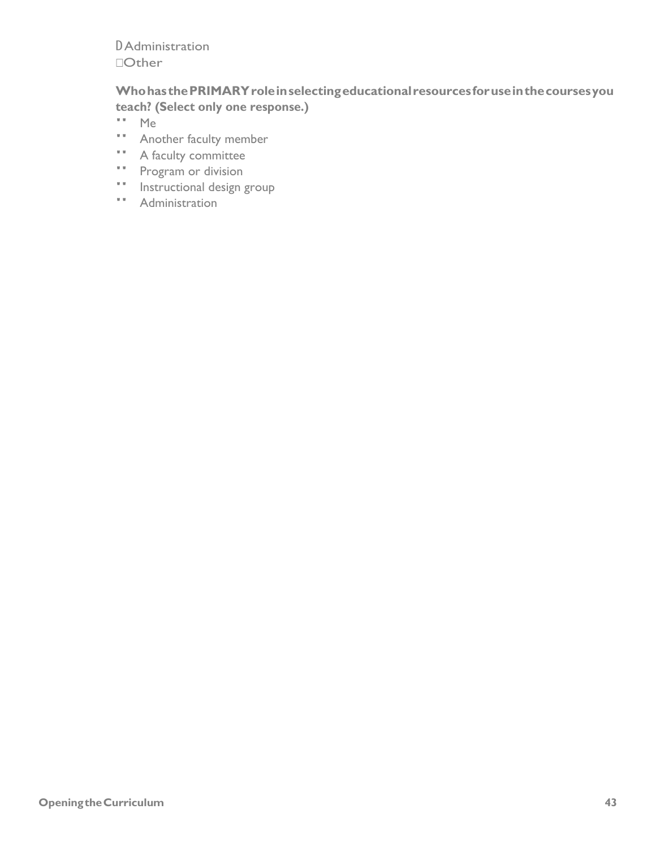**DAdministration Other** 

# Who has the PRIMARY role in selecting educational resources for use in the courses you teach? (Select only one response.)

- $\bar{\mathbf{v}}$   $\bar{\mathbf{v}}$ Me
- " Another faculty member
- " A faculty committee
- " Program or division
- " Instructional design group
- " Administration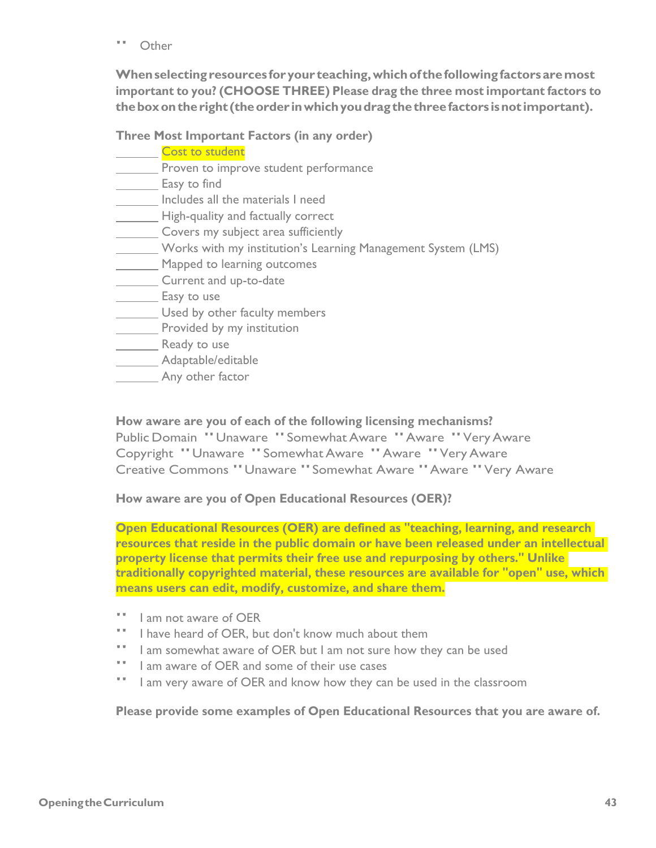" Other

**Whenselectingresources for your teaching,whichof thefollowingfactors aremost important to you? (CHOOSE THREE) Please drag the three most important factors to theboxontheright (theorder inwhichyoudragthethreefactors isnot important).**

**Three Most Important Factors (in any order)**

| <b>Cost to student</b>                                       |
|--------------------------------------------------------------|
| Proven to improve student performance                        |
| Easy to find                                                 |
| Includes all the materials I need                            |
| High-quality and factually correct                           |
| Covers my subject area sufficiently                          |
| Works with my institution's Learning Management System (LMS) |
| Mapped to learning outcomes                                  |
| Current and up-to-date                                       |
| Easy to use                                                  |
| Used by other faculty members                                |
| Provided by my institution                                   |
| Ready to use                                                 |
| Adaptable/editable                                           |
| Any other factor                                             |

**How aware are you of each of the following licensing mechanisms?** Public Domain "Unaware "SomewhatAware "Aware "VeryAware Copyright "Unaware "SomewhatAware "Aware "VeryAware Creative Commons "Unaware "Somewhat Aware "Aware "Very Aware

**How aware are you of Open Educational Resources (OER)?** 

**Open Educational Resources (OER) are defined as "teaching, learning, and research resources that reside in the public domain or have been released under an intellectual property license that permits their free use and repurposing by others." Unlike traditionally copyrighted material, these resources are available for "open" use, which means users can edit, modify, customize, and share them.**

- " I am not aware of OER<br>"I have beard of OER by
- " I have heard of OER, but don't know much about them
- " I am somewhat aware of OER but I am not sure how they can be used
- " I am aware of OER and some of their use cases" I am very aware of OER and know how they can
- I am very aware of OER and know how they can be used in the classroom

**Please provide some examples of Open Educational Resources that you are aware of.**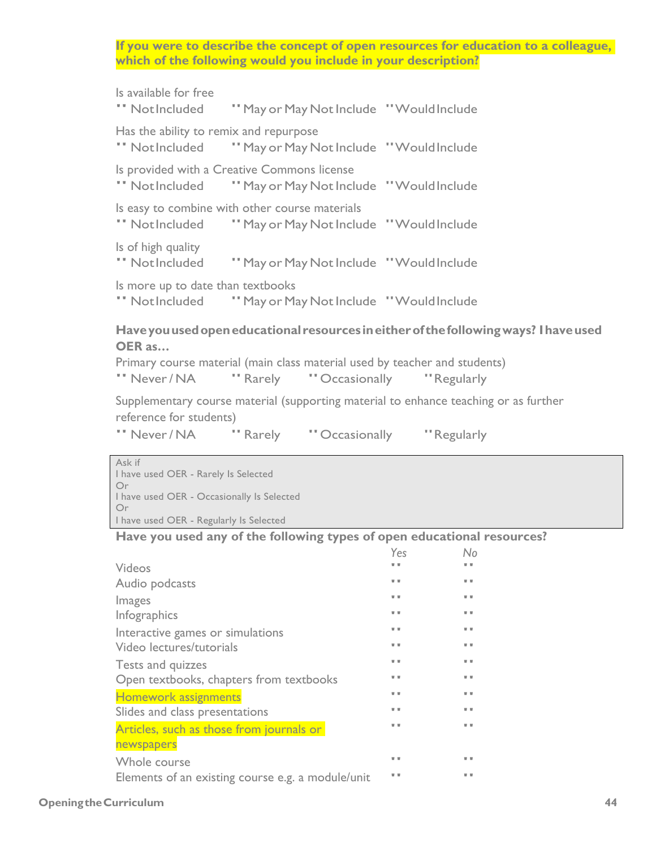**If you were to describe the concept of open resources for education to a colleague, which of the following would you include in your description?**

| Is available for free<br>" NotIncluded<br>"May or May Not Include "Would Include"                                                                                                                                        |                                       |
|--------------------------------------------------------------------------------------------------------------------------------------------------------------------------------------------------------------------------|---------------------------------------|
| Has the ability to remix and repurpose<br>" NotIncluded<br>"May or May Not Include "Would Include"                                                                                                                       |                                       |
| Is provided with a Creative Commons license<br>" NotIncluded<br>"May or May Not Include "Would Include"                                                                                                                  |                                       |
| Is easy to combine with other course materials<br>" NotIncluded<br>"May or May Not Include "Would Include"                                                                                                               |                                       |
| Is of high quality<br>" NotIncluded<br>"May or May Not Include "Would Include                                                                                                                                            |                                       |
| Is more up to date than textbooks<br>" Not Included " May or May Not Include " Would Include                                                                                                                             |                                       |
| Have you used open educational resources in either of the following ways? I have used<br>OER as<br>Primary course material (main class material used by teacher and students)<br>" Never / NA<br>" Rarely " Occasionally | "Regularly                            |
| Supplementary course material (supporting material to enhance teaching or as further<br>reference for students)                                                                                                          |                                       |
| "Never/NA "Rarely "Occasionally "Regularly                                                                                                                                                                               |                                       |
| Ask if<br>I have used OER - Rarely Is Selected<br>Or<br>I have used OER - Occasionally Is Selected<br>Or<br>I have used OER - Regularly Is Selected                                                                      |                                       |
| Have you used any of the following types of open educational resources?                                                                                                                                                  |                                       |
|                                                                                                                                                                                                                          | Yes<br>No                             |
| Videos                                                                                                                                                                                                                   | $\overline{\mathbf{v}}$<br>v v        |
| Audio podcasts                                                                                                                                                                                                           | v u                                   |
| Images                                                                                                                                                                                                                   | v v<br>v v<br>$\overline{\mathbf{v}}$ |
| Infographics                                                                                                                                                                                                             | v v                                   |
| Interactive games or simulations<br>Video lectures/tutorials                                                                                                                                                             | v v                                   |
|                                                                                                                                                                                                                          | v v                                   |
| Tests and quizzes<br>Open textbooks, chapters from textbooks                                                                                                                                                             | v v                                   |
| Homework assignments                                                                                                                                                                                                     | v u<br>$\overline{v}$                 |
| Slides and class presentations                                                                                                                                                                                           | v u                                   |
| Articles, such as those from journals or                                                                                                                                                                                 | v v<br>$\overline{\mathbf{v}}$        |
| newspapers                                                                                                                                                                                                               | v v<br>$\overline{\mathbf{v}}$        |
| Whole course<br>Elements of an existing course e.g. a module/unit                                                                                                                                                        | $\overline{\mathbf{v}}$<br>v v        |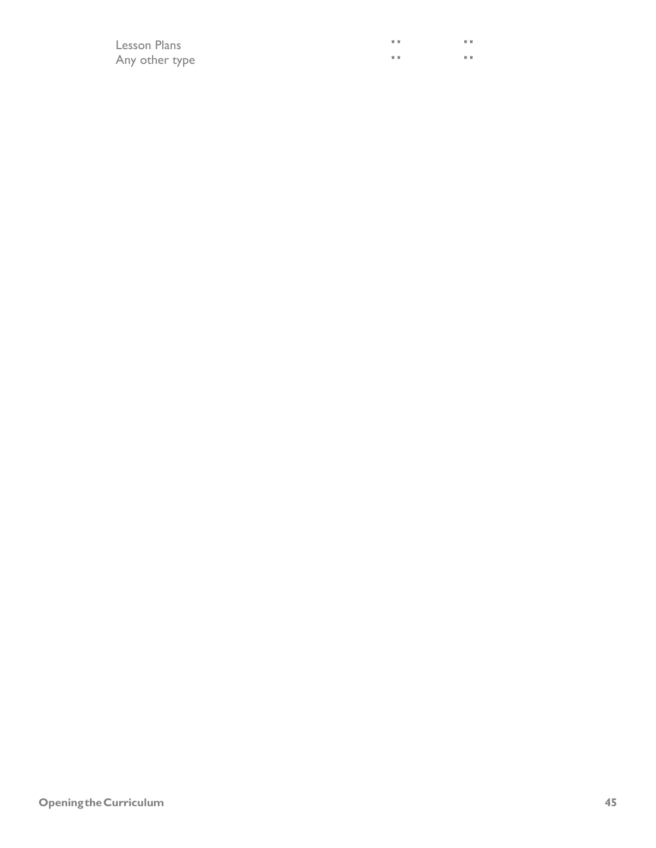| Lesson Plans   | $\overline{\phantom{a}}$ | $\mathbf{v}$ |
|----------------|--------------------------|--------------|
| Any other type | $\overline{\phantom{a}}$ | <b>v</b> w   |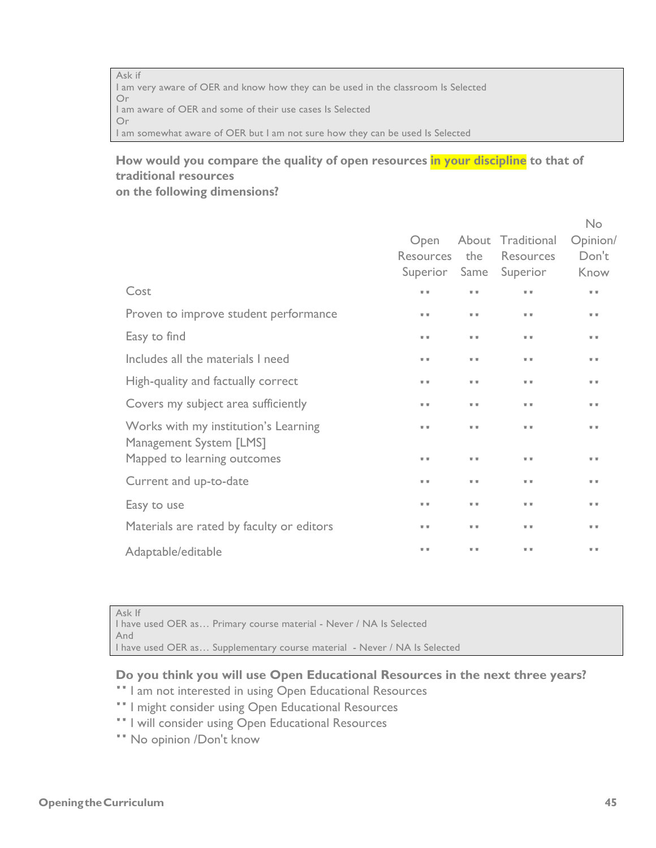Ask if I am very aware of OER and know how they can be used in the classroom Is Selected Or I am aware of OER and some of their use cases Is Selected Or I am somewhat aware of OER but I am not sure how they can be used Is Selected

# **How would you compare the quality of open resources in your discipline to that of traditional resources**

**on the following dimensions?**

|                                           |                  |              |                        | No                      |
|-------------------------------------------|------------------|--------------|------------------------|-------------------------|
|                                           | Open             |              | About Traditional      | Opinion/                |
|                                           | <b>Resources</b> | the          | Resources              | Don't                   |
|                                           |                  |              | Superior Same Superior | Know                    |
| Cost                                      | $\overline{v}$   | v v          | $\mathbf{v}$           | $\overline{\mathbf{v}}$ |
| Proven to improve student performance     | $\overline{v}$   | $\mathbf{v}$ | $\mathbf{v}$           | $\overline{\mathbf{v}}$ |
| Easy to find                              | $\overline{v}$   | v v          | $\mathbf{v}$           | $\overline{\mathbf{v}}$ |
| Includes all the materials I need         | $\overline{v}$   | $\mathbf{v}$ | $\mathbf{v}$           | $\overline{\mathbf{v}}$ |
| High-quality and factually correct        | $\overline{v}$   | UU.          | $\mathbf{v}$           | $\overline{\mathbf{v}}$ |
| Covers my subject area sufficiently       | $\overline{v}$   | v v          | $\mathbf{v}$           | $\overline{\mathbf{v}}$ |
| Works with my institution's Learning      | $\overline{v}$   | v v          | $\mathbf{v}$           | $\overline{\mathbf{v}}$ |
| Management System [LMS]                   |                  |              |                        |                         |
| Mapped to learning outcomes               | $\overline{v}$   | $\mathbf{v}$ | $\mathbf{v}$           | $\overline{\mathbf{v}}$ |
| Current and up-to-date                    | $\overline{v}$   | v v          | $\mathbf{v}$           | $\overline{\mathbf{v}}$ |
| Easy to use                               | $\overline{v}$   | UU.          | $\mathbf{v}$           | $\overline{\mathbf{v}}$ |
| Materials are rated by faculty or editors | $\overline{v}$   | v v          | $\mathbf{v}$           | $\overline{\mathbf{v}}$ |
| Adaptable/editable                        | $\overline{v}$   | v v          | $\mathbf{v}$           | $\overline{\mathbf{v}}$ |
|                                           |                  |              |                        |                         |

Ask If I have used OER as… Primary course material - Never / NA Is Selected And I have used OER as... Supplementary course material - Never / NA Is Selected

## **Do you think you will use Open Educational Resources in the next three years?**

- "I am not interested in using Open Educational Resources
- "I might consider using Open Educational Resources
- "I will consider using Open Educational Resources
- "No opinion /Don't know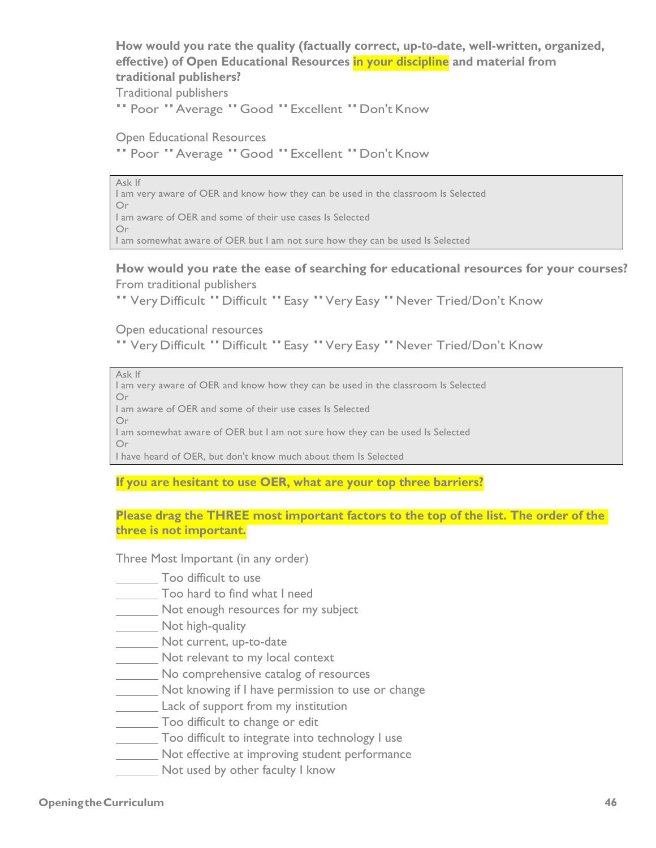**How would you rate the quality (factually correct, up-to-date, well-written, organized, effective) of Open Educational Resources in your discipline and material from traditional publishers?**

Traditional publishers

" Poor "Average "Good "Excellent "Don't Know

Open Educational Resources " Poor "Average "Good "Excellent "Don't Know

Ask If I am very aware of OER and know how they can be used in the classroom Is Selected Or I am aware of OER and some of their use cases Is Selected Or I am somewhat aware of OER but I am not sure how they can be used Is Selected

**How would you rate the ease of searching for educational resources for your courses?** From traditional publishers

"Very Difficult "Difficult "Easy "Very Easy "Never Tried/Don't Know

Open educational resources

"Very Difficult "Difficult "Easy "Very Easy "Never Tried/Don't Know

Ask If

I am very aware of OER and know how they can be used in the classroom Is Selected Or

I am aware of OER and some of their use cases Is Selected

Or

I am somewhat aware of OER but I am not sure how they can be used Is Selected Or

I have heard of OER, but don't know much about them Is Selected

**If you are hesitant to use OER, what are your top three barriers?**

**Please drag the THREE most important factors to the top of the list. The order of the three is not important.**

Three Most Important (in any order)

- Too difficult to use
- Too hard to find what I need
- **Not enough resources for my subject**

Not high-quality

- Not current, up-to-date
- Not relevant to my local context
- No comprehensive catalog of resources

Not knowing if I have permission to use or change

- **Lack of support from my institution**
- Too difficult to change or edit
- Too difficult to integrate into technology I use
- Not effective at improving student performance
- **Not used by other faculty I know**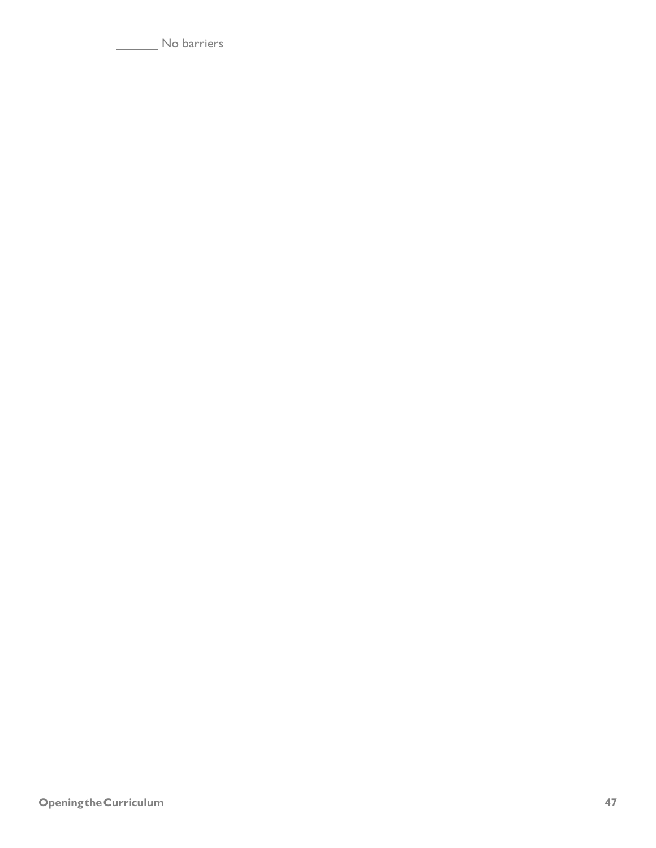No barriers